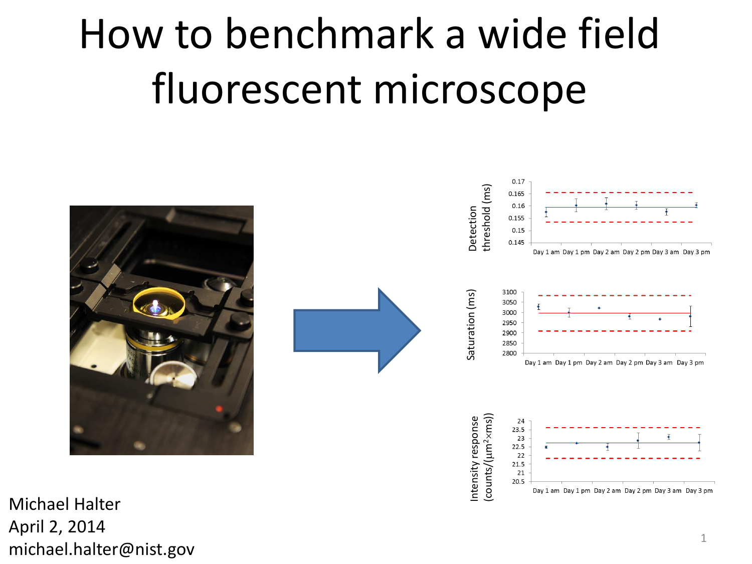# How to benchmark a wide field fluorescent microscope



Michael Halter April 2, 2014 michael.halter@nist.gov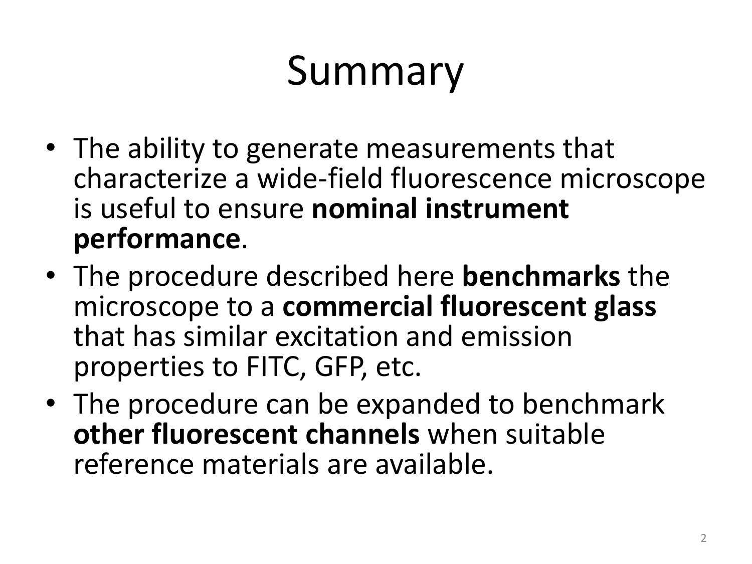# Summary

- The ability to generate measurements that characterize a wide-field fluorescence microscope is useful to ensure **nominal instrument performance**.
- The procedure described here **benchmarks** the microscope to a **commercial fluorescent glass** that has similar excitation and emission properties to FITC, GFP, etc.
- The procedure can be expanded to benchmark **other fluorescent channels** when suitable reference materials are available.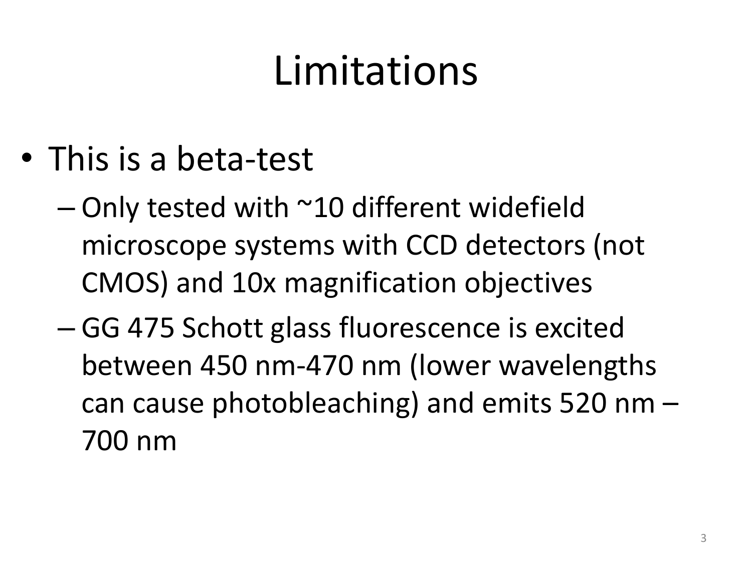# Limitations

- This is a beta-test
	- $-$  Only tested with  $\sim$ 10 different widefield microscope systems with CCD detectors (not CMOS) and 10x magnification objectives
	- GG 475 Schott glass fluorescence is excited between 450 nm-470 nm (lower wavelengths can cause photobleaching) and emits 520 nm – 700 nm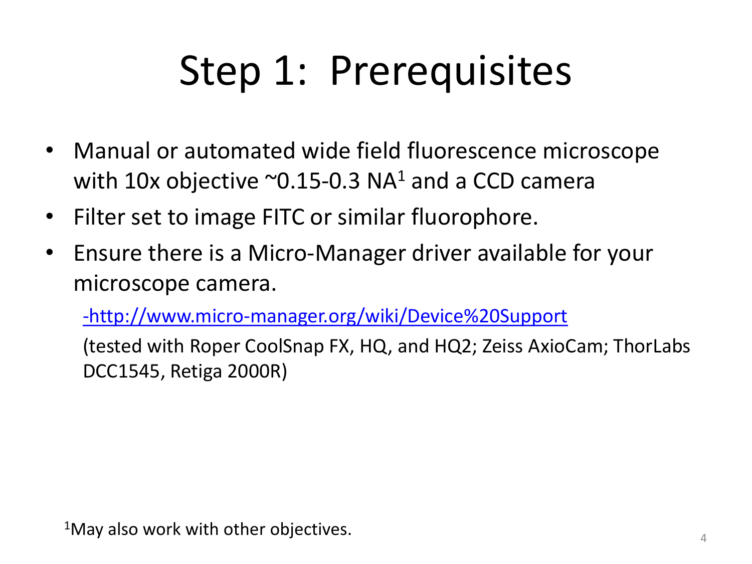# Step 1: Prerequisites

- Manual or automated wide field fluorescence microscope with 10x objective  $\sim$  0.15-0.3 NA<sup>1</sup> and a CCD camera
- Filter set to image FITC or similar fluorophore.
- Ensure there is a Micro-Manager driver available for your microscope camera.

[-http://www.micro-manager.org/wiki/Device%20Support](http://www.micro-manager.org/wiki/Device Support)

(tested with Roper CoolSnap FX, HQ, and HQ2; Zeiss AxioCam; ThorLabs DCC1545, Retiga 2000R)

 $1$ May also work with other objectives.  $4\frac{4}{4}$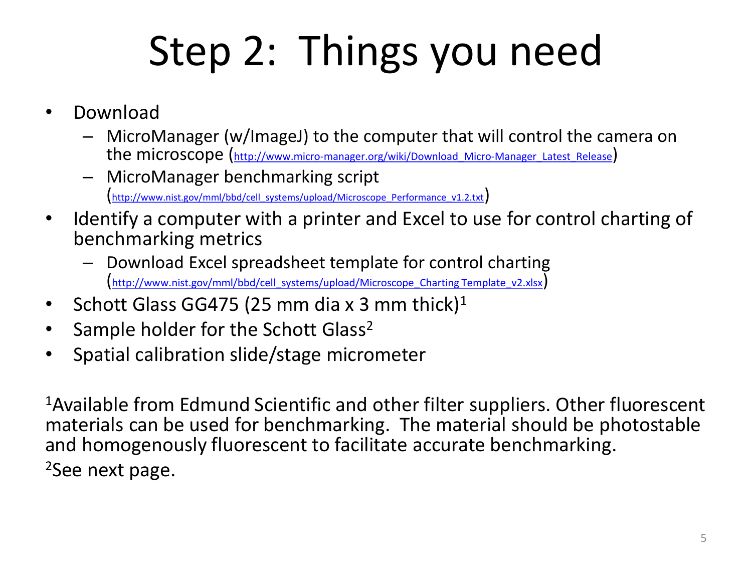# Step 2: Things you need

- Download
	- MicroManager (w/ImageJ) to the computer that will control the camera on the microscope (http://www.micro-manager.org/wiki/Download Micro-Manager Latest Release)
	- MicroManager benchmarking script [http://www.nist.gov/mml/bbd/cell\\_systems/upload/Microscope\\_Performance\\_v1.2.txt](http://www.nist.gov/mml/bbd/cell_systems/upload/Microscope_Performance_v1.2.txt)
- Identify a computer with a printer and Excel to use for control charting of benchmarking metrics
	- Download Excel spreadsheet template for control charting [http://www.nist.gov/mml/bbd/cell\\_systems/upload/Microscope\\_Charting Template\\_v2.xlsx](http://www.nist.gov/mml/bbd/cell_systems/upload/Microscope_Charting Template_v1.xlsx))
- Schott Glass GG475 (25 mm dia x 3 mm thick)<sup>1</sup>
- Sample holder for the Schott Glass<sup>2</sup>
- Spatial calibration slide/stage micrometer

<sup>1</sup>Available from Edmund Scientific and other filter suppliers. Other fluorescent materials can be used for benchmarking. The material should be photostable and homogenously fluorescent to facilitate accurate benchmarking. <sup>2</sup>See next page.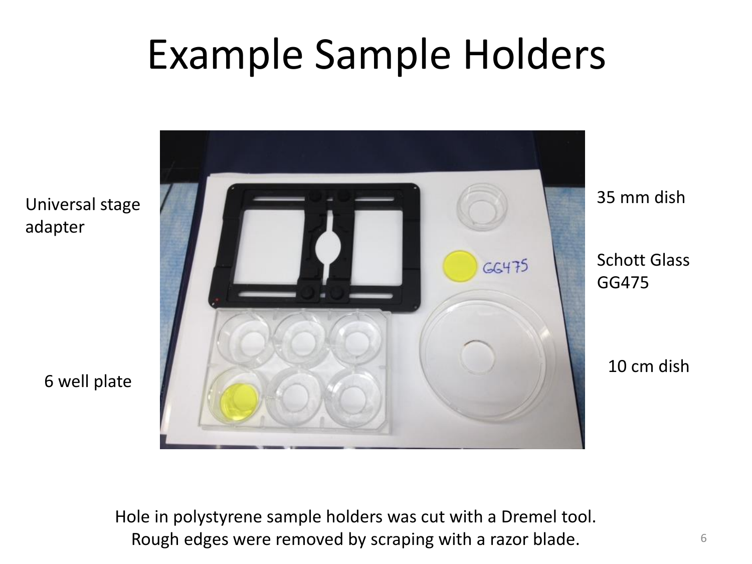## Example Sample Holders



6 well plate

adapter

Hole in polystyrene sample holders was cut with a Dremel tool. Rough edges were removed by scraping with a razor blade.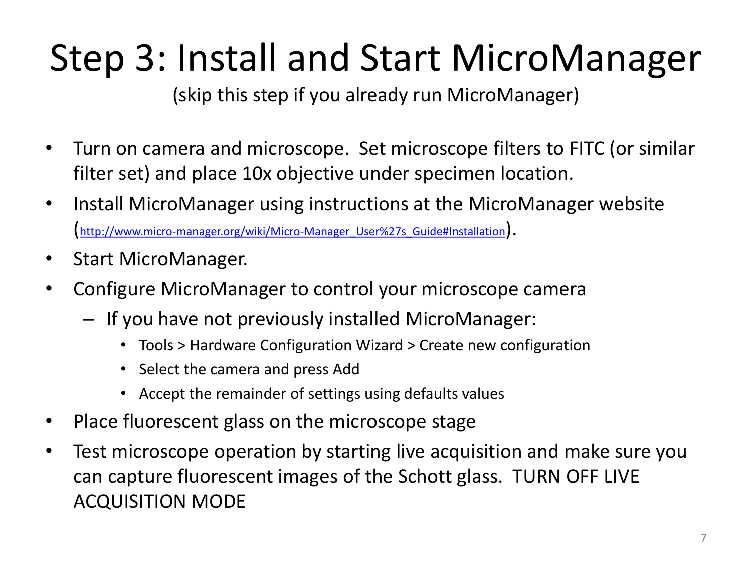## Step 3: Install and Start MicroManager

(skip this step if you already run MicroManager)

- Turn on camera and microscope. Set microscope filters to FITC (or similar filter set) and place 10x objective under specimen location.
- Install MicroManager using instructions at the MicroManager website [http://www.micro-manager.org/wiki/Micro-Manager\\_User%27s\\_Guide#Installation](http://www.micro-manager.org/wiki/Micro-Manager_User)).
- Start MicroManager.
- Configure MicroManager to control your microscope camera
	- If you have not previously installed MicroManager:
		- Tools > Hardware Configuration Wizard > Create new configuration
		- Select the camera and press Add
		- Accept the remainder of settings using defaults values
- Place fluorescent glass on the microscope stage
- Test microscope operation by starting live acquisition and make sure you can capture fluorescent images of the Schott glass. TURN OFF LIVE ACQUISITION MODE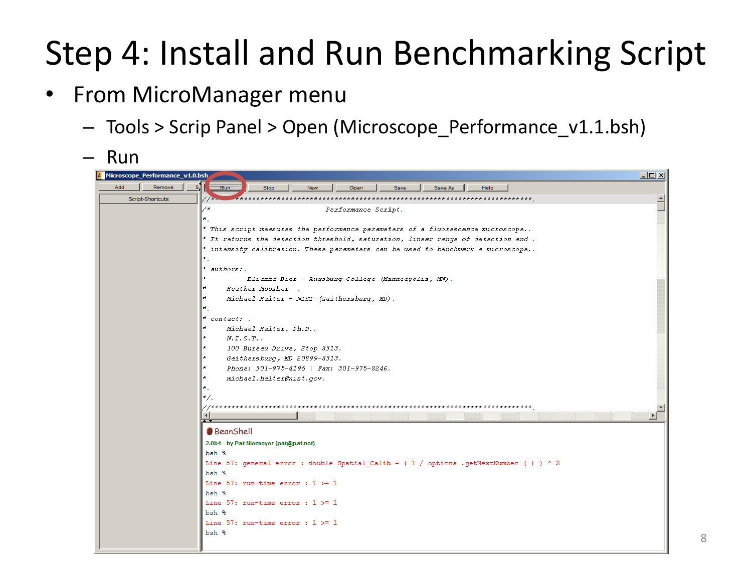#### Step 4: Install and Run Benchmarking Script

- From MicroManager menu
	- Tools > Scrip Panel > Open (Microscope\_Performance\_v1.1.bsh)
	- Run Microscope Performance v1.0.bsh  $-10 \times$ Add | Remove  $\overline{\mathbf{p}_{\text{init}}}$ Ston New Open Save Save As Help Script-Shortcuts Performance Script. \* This script measures the performance parameters of a fluorescence microscope.. Tt returns the detection threshold, saturation, linear range of detection and . intensity calibration. These parameters can be used to benchmark a microscope.. authors: Elianna Bier - Augsburg College (Minneapolis, MN). Heather Moosher . Michael Halter - MIST (Gaithersburg, MD). contact: . Michael Halter, Ph.D..  $N. I. S. T.$ . 100 Bureau Drive, Stop 8313. Gaithersburg, MD 20899-8313. Phone: 301-975-4195 | Fax: 301-975-8246. michael.halter@nist.gov. **BeanShell** 2.0b4 - by Pat Niemeyer (pat@pat.net)  $bsh$  % Line 57: general error : double Spatial Calib = ( 1 / options .getNextNumber ( ) ) ^ 2 bsh % Line 57: run-time error :  $1 > = 1$  $hsh$   $\frac{6}{3}$ Line 57: run-time error :  $1$  >= 1 bsh % Line 57: run-time error :  $1$  >= 1  $bsh$   $%$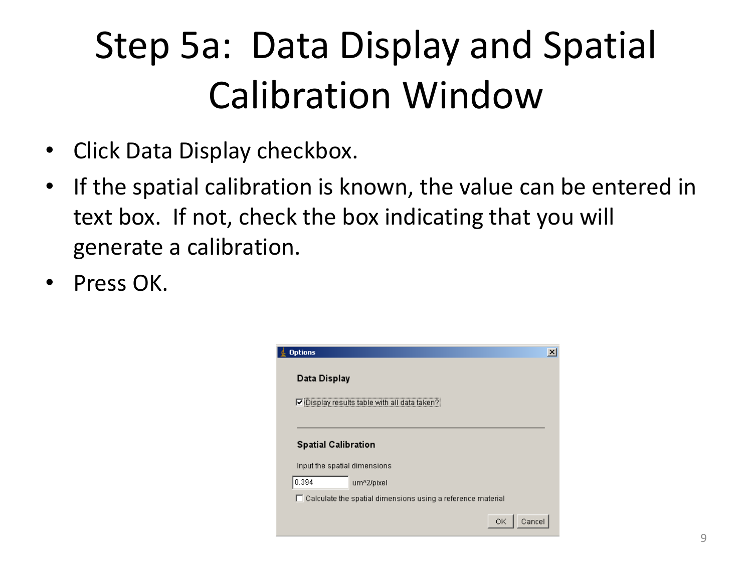# Step 5a: Data Display and Spatial Calibration Window

- Click Data Display checkbox.
- If the spatial calibration is known, the value can be entered in text box. If not, check the box indicating that you will generate a calibration.
- Press OK.

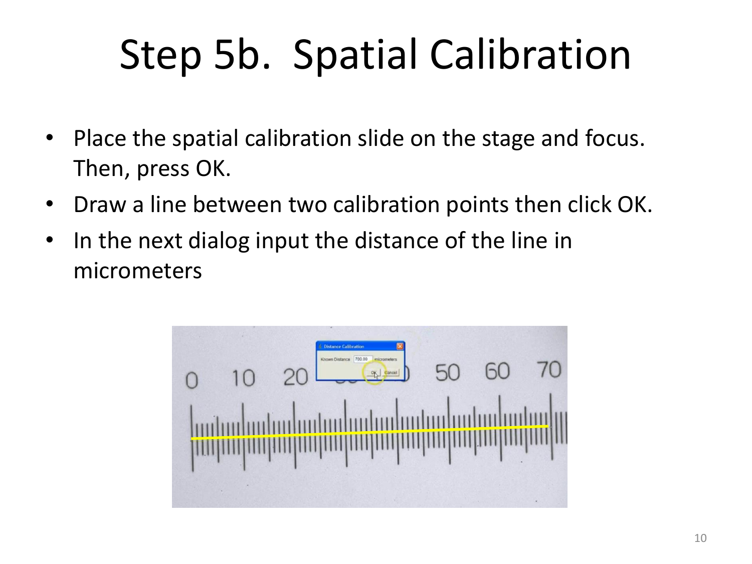# Step 5b. Spatial Calibration

- Place the spatial calibration slide on the stage and focus. Then, press OK.
- Draw a line between two calibration points then click OK.
- In the next dialog input the distance of the line in micrometers

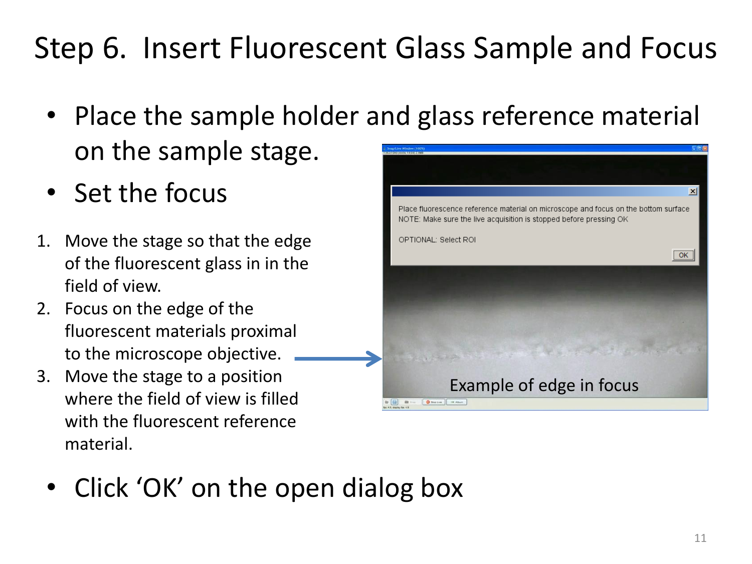#### Step 6. Insert Fluorescent Glass Sample and Focus

- Place the sample holder and glass reference material on the sample stage.
- Set the focus
- 1. Move the stage so that the edge of the fluorescent glass in in the field of view.
- 2. Focus on the edge of the fluorescent materials proximal to the microscope objective.
- 3. Move the stage to a position where the field of view is filled with the fluorescent reference material.



• Click 'OK' on the open dialog box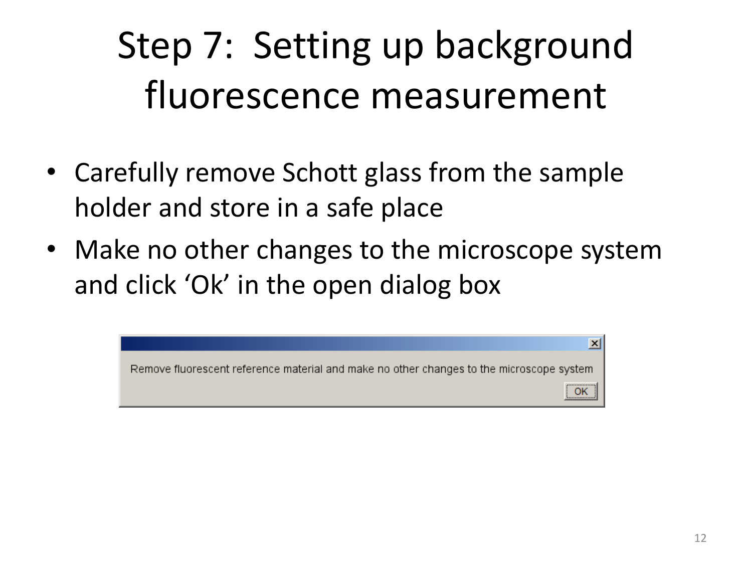# Step 7: Setting up background fluorescence measurement

- Carefully remove Schott glass from the sample holder and store in a safe place
- Make no other changes to the microscope system and click 'Ok' in the open dialog box

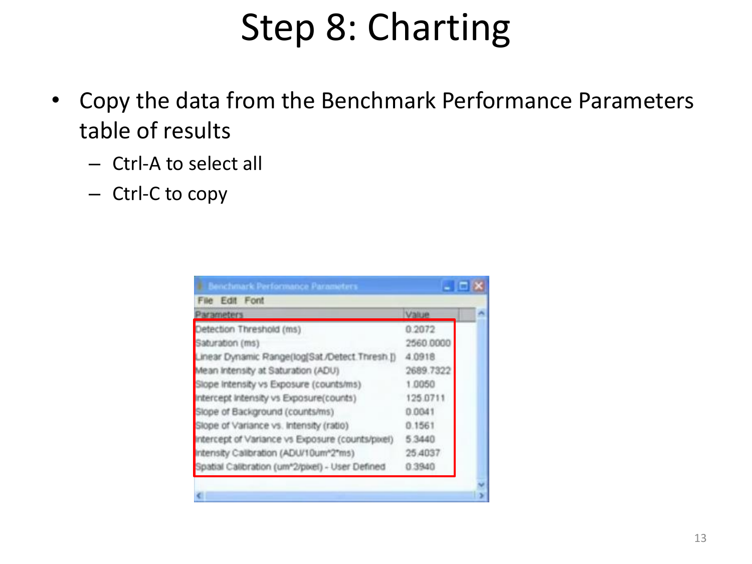#### Step 8: Charting

- Copy the data from the Benchmark Performance Parameters table of results
	- Ctrl-A to select all
	- Ctrl-C to copy

| Parameters                                       | Value     |  |
|--------------------------------------------------|-----------|--|
| Detection Threshold (ms)                         | 0.2072    |  |
| Saturation (ms)                                  | 2560.0000 |  |
| Linear Dynamic Range(log[Sat /Detect Thresh.])   | 4.0918    |  |
| Mean Intensity at Saturation (ADU)               | 2689.7322 |  |
| Slope Intensity vs Exposure (counts/ms)          | 1.0050    |  |
| Intercept Intensity vs Exposure(counts)          | 125.0711  |  |
| Slope of Background (counts/ms)                  | 0.0041    |  |
| Slope of Variance vs. Intensity (ratio)          | 0.1561    |  |
| Intercept of Variance vs Exposure (counts/pixel) | 5.3440    |  |
| Intensity Calibration (ADU/10um*2*ms)            | 25,4037   |  |
| Spatial Calibration (um*2/pixel) - User Defined  | 0.3940    |  |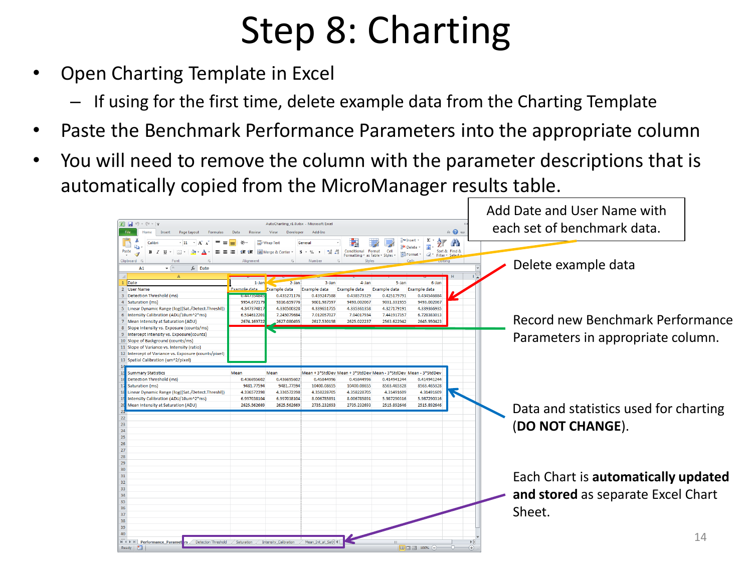### Step 8: Charting

- Open Charting Template in Excel
	- If using for the first time, delete example data from the Charting Template
- Paste the Benchmark Performance Parameters into the appropriate column
- You will need to remove the column with the parameter descriptions that is automatically copied from the MicroManager results table.

|                                                                              |                     |                                          |                                                                               |                                            |                     |                                                         |                           | Add Date and User Name with           |
|------------------------------------------------------------------------------|---------------------|------------------------------------------|-------------------------------------------------------------------------------|--------------------------------------------|---------------------|---------------------------------------------------------|---------------------------|---------------------------------------|
| $\mathbb{X} \mid \mathbb{H} \mid \mathbb{I}$ , $\mathbb{C} \cdot \mathbb{I}$ |                     | AutoCharting_v1.0.xlsx - Microsoft Excel |                                                                               |                                            |                     |                                                         |                           |                                       |
| File<br>Insert<br>Page Lavout                                                | Data<br>Review      | View<br>Developer                        | Add-Ins                                                                       |                                            |                     |                                                         | $\circ$ $\bullet$ $\circ$ | each set of benchmark data.           |
| Calibri<br>$-11$<br>la.                                                      |                     | Wrap Text                                | General                                                                       |                                            |                     | Σ<br>i∾Tnsert ×                                         | m                         |                                       |
| Paste<br>$\mathbf{R}$                                                        |                     | <b>EXEMPTED &amp; Center *</b>           | $+0.00$<br>-S<br>$-9/2$                                                       | Conditional<br>Format                      | Cell                | <b>Delete</b><br>Sort & Find &<br>Format *              |                           |                                       |
| Clipboard 5<br>Font                                                          | Alianmen            |                                          | Numbe                                                                         | Formatting * as Table * Styles *<br>Styles |                     | $\mathcal{Q}^+$<br>Filter * Select *                    |                           |                                       |
| $f_x$ Date<br>$-$ ( $-$                                                      |                     |                                          |                                                                               |                                            |                     |                                                         |                           | Delete example data                   |
| A1                                                                           |                     |                                          |                                                                               |                                            |                     |                                                         |                           |                                       |
| Δ                                                                            |                     |                                          |                                                                               |                                            |                     |                                                         |                           |                                       |
| Date                                                                         | $1 - Jan$           | $2-$ Jan                                 | $3 - Ian$                                                                     | $4$ -lan                                   | 5-Jan               | $6 - Jan$                                               |                           |                                       |
| 2 User Name                                                                  | Example data        | <b>Example data</b>                      | Example data                                                                  | Example data                               | <b>Example data</b> | Example data                                            |                           |                                       |
| 3 Detection Threshold (ms)                                                   | 07447.5524541       | 0.435271176                              | 0.439247588                                                                   | 0.438573329                                | 0.425179791         | 0.434546884                                             |                           |                                       |
| 4 Saturation (ms)                                                            | 9954.67217          | 9316.659776                              | 9601.987597                                                                   | 9493.002067                                | 9031.331955         | 9493.002067                                             |                           |                                       |
| 5 Linear Dynamic Range (log([Sat./Detect.Threshl])                           | 4.34737481          | 4.330500328                              | 4.339651755                                                                   | 4.335361358                                | 4.327179191         | 4.339366935                                             |                           |                                       |
| 6 Intensity Calibration (ADU/10um^2*ms)                                      | 6.514612201         | 7.245079684                              | 7.012057027                                                                   | 7.04017934                                 | 7.441917357         | 6.728383013                                             |                           | Record new Benchmark Performance      |
| 7 Mean Intensity at Saturation (ADU)                                         | 2674.169722         | 2627.080495                              | 2617.530198                                                                   | 2625.022237                                | 2563.622942         | 2645.950423                                             |                           |                                       |
| 8 Slope Intensity vs. Exposure (counts/ms)                                   |                     |                                          |                                                                               |                                            |                     |                                                         |                           |                                       |
| 9 Intercept Intensity vs. Exposure(counts)                                   |                     |                                          |                                                                               |                                            |                     |                                                         |                           | Parameters in appropriate column.     |
| 10 Slope of Background (counts/ms)                                           |                     |                                          |                                                                               |                                            |                     |                                                         |                           |                                       |
| 11 Slope of Variance vs. Intensity (ratio)                                   |                     |                                          |                                                                               |                                            |                     |                                                         |                           |                                       |
| 12 Intercept of Variance vs. Exposure (counts/pixel)                         |                     |                                          |                                                                               |                                            |                     |                                                         |                           |                                       |
| 13 Spatial Calibration (um^2/pixel)                                          |                     |                                          |                                                                               |                                            |                     |                                                         |                           |                                       |
|                                                                              |                     |                                          |                                                                               |                                            |                     |                                                         |                           |                                       |
| <b>Summary Statistics</b><br><b>Detection Threshold (ms)</b>                 | Mean<br>0.436695602 | Mean<br>0.436695602                      | Mean + 3*StdDev Mean + 3*StdDev Mean - 3*StdDev Mean - 3*StdDev<br>0.45844996 | 0.45844996                                 | 0.414941244         | 0.414941244                                             |                           |                                       |
| Saturation (ms)                                                              | 9481.77594          | 9481.77594                               | 10400.08655                                                                   | 10400.08655                                | 8563.465328         | 8563.465328                                             |                           |                                       |
| Linear Dynamic Range (log([Sat./Detect.Threshl])                             | 4.336572398         | 4.336572398                              | 4.358228705                                                                   | 4.358228705                                | 4.31491609          | 4.31491609                                              |                           |                                       |
| Intensity Calibration (ADU/10um^2*ms)                                        | 6.997038104         | 6.997038104                              | 8.006785891                                                                   | 8.006785891                                | 5.987290316         | 5.987290316                                             |                           |                                       |
| Mean Intensity at Saturation (ADU)                                           | 2625.562669         | 2625.562669                              | 2735.232693                                                                   | 2735.232693                                | 2515.892646         | 2515.892646                                             |                           |                                       |
|                                                                              |                     |                                          |                                                                               |                                            |                     |                                                         |                           | Data and statistics used for charting |
|                                                                              |                     |                                          |                                                                               |                                            |                     |                                                         |                           |                                       |
| 23                                                                           |                     |                                          |                                                                               |                                            |                     |                                                         |                           |                                       |
| 24                                                                           |                     |                                          |                                                                               |                                            |                     |                                                         |                           | (DO NOT CHANGE).                      |
| 25                                                                           |                     |                                          |                                                                               |                                            |                     |                                                         |                           |                                       |
| 26                                                                           |                     |                                          |                                                                               |                                            |                     |                                                         |                           |                                       |
| 27                                                                           |                     |                                          |                                                                               |                                            |                     |                                                         |                           |                                       |
| 28                                                                           |                     |                                          |                                                                               |                                            |                     |                                                         |                           |                                       |
| 29                                                                           |                     |                                          |                                                                               |                                            |                     |                                                         |                           |                                       |
| 30                                                                           |                     |                                          |                                                                               |                                            |                     |                                                         |                           |                                       |
| 31                                                                           |                     |                                          |                                                                               |                                            |                     |                                                         |                           |                                       |
| 32                                                                           |                     |                                          |                                                                               |                                            |                     |                                                         |                           | Each Chart is automatically updated   |
| 33                                                                           |                     |                                          |                                                                               |                                            |                     |                                                         |                           |                                       |
| 34                                                                           |                     |                                          |                                                                               |                                            |                     |                                                         |                           | and stored as separate Excel Chart    |
| 35                                                                           |                     |                                          |                                                                               |                                            |                     |                                                         |                           |                                       |
| 36                                                                           |                     |                                          |                                                                               |                                            |                     |                                                         |                           |                                       |
| 37                                                                           |                     |                                          |                                                                               |                                            |                     |                                                         |                           | Sheet.                                |
| 38                                                                           |                     |                                          |                                                                               |                                            |                     |                                                         |                           |                                       |
| 39                                                                           |                     |                                          |                                                                               |                                            |                     |                                                         |                           |                                       |
| 40                                                                           |                     |                                          |                                                                               |                                            |                     |                                                         |                           |                                       |
| II + ▶ H Performance Paramet rs Detection Threshold                          | Saturation          | Intensity Calibration                    | Mean_Int_at_Sati 4                                                            |                                            |                     |                                                         |                           | 14                                    |
| <b>Ball</b><br>Ready                                                         |                     |                                          |                                                                               |                                            |                     | $\boxed{1}$ $\boxed{1}$ $\boxed{1}$ $100\%$ $\boxed{0}$ | -0-<br>Ð                  |                                       |
|                                                                              |                     |                                          |                                                                               |                                            |                     |                                                         |                           |                                       |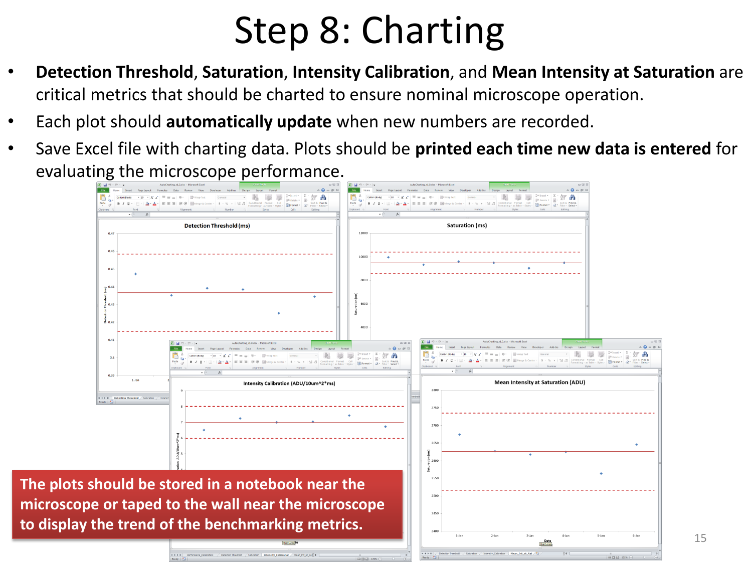#### Step 8: Charting

- **Detection Threshold**, **Saturation**, **Intensity Calibration**, and **Mean Intensity at Saturation** are critical metrics that should be charted to ensure nominal microscope operation.
- Each plot should **automatically update** when new numbers are recorded.
- Save Excel file with charting data. Plots should be **printed each time new data is entered** for evaluating the microscope performance.

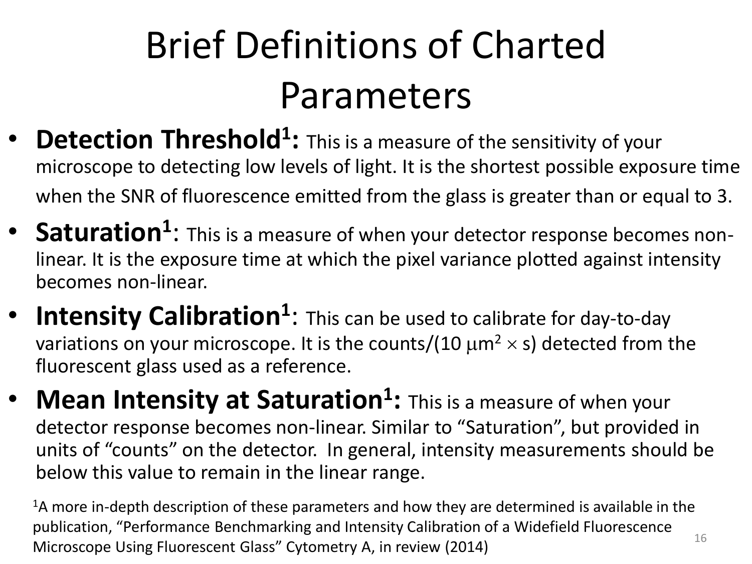# Brief Definitions of Charted Parameters

- **Detection Threshold<sup>1</sup>:** This is a measure of the sensitivity of your microscope to detecting low levels of light. It is the shortest possible exposure time when the SNR of fluorescence emitted from the glass is greater than or equal to 3.
- **Saturation<sup>1</sup>**: This is a measure of when your detector response becomes nonlinear. It is the exposure time at which the pixel variance plotted against intensity becomes non-linear.
- **Intensity Calibration<sup>1</sup>:** This can be used to calibrate for day-to-day variations on your microscope. It is the counts/(10  $\mu$ m<sup>2</sup>  $\times$  s) detected from the fluorescent glass used as a reference.
- **Mean Intensity at Saturation<sup>1</sup> :** This is a measure of when your detector response becomes non-linear. Similar to "Saturation", but provided in units of "counts" on the detector. In general, intensity measurements should be below this value to remain in the linear range.

16  $1$ A more in-depth description of these parameters and how they are determined is available in the publication, "Performance Benchmarking and Intensity Calibration of a Widefield Fluorescence Microscope Using Fluorescent Glass" Cytometry A, in review (2014)